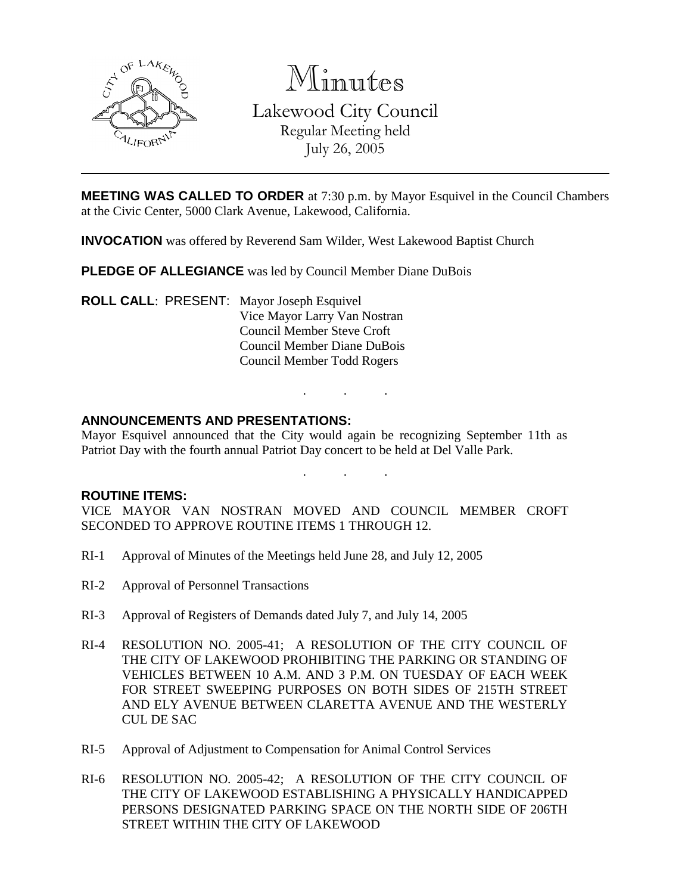

Minutes

Lakewood City Council Regular Meeting held July 26, 2005

**MEETING WAS CALLED TO ORDER** at 7:30 p.m. by Mayor Esquivel in the Council Chambers at the Civic Center, 5000 Clark Avenue, Lakewood, California.

**INVOCATION** was offered by Reverend Sam Wilder, West Lakewood Baptist Church

**PLEDGE OF ALLEGIANCE** was led by Council Member Diane DuBois

**ROLL CALL**: PRESENT: Mayor Joseph Esquivel Vice Mayor Larry Van Nostran Council Member Steve Croft Council Member Diane DuBois Council Member Todd Rogers

### **ANNOUNCEMENTS AND PRESENTATIONS:**

Mayor Esquivel announced that the City would again be recognizing September 11th as Patriot Day with the fourth annual Patriot Day concert to be held at Del Valle Park.

. . .

. . .

#### **ROUTINE ITEMS:**

VICE MAYOR VAN NOSTRAN MOVED AND COUNCIL MEMBER CROFT SECONDED TO APPROVE ROUTINE ITEMS 1 THROUGH 12.

- RI-1 Approval of Minutes of the Meetings held June 28, and July 12, 2005
- RI-2 Approval of Personnel Transactions
- RI-3 Approval of Registers of Demands dated July 7, and July 14, 2005
- RI-4 RESOLUTION NO. 2005-41; A RESOLUTION OF THE CITY COUNCIL OF THE CITY OF LAKEWOOD PROHIBITING THE PARKING OR STANDING OF VEHICLES BETWEEN 10 A.M. AND 3 P.M. ON TUESDAY OF EACH WEEK FOR STREET SWEEPING PURPOSES ON BOTH SIDES OF 215TH STREET AND ELY AVENUE BETWEEN CLARETTA AVENUE AND THE WESTERLY CUL DE SAC
- RI-5 Approval of Adjustment to Compensation for Animal Control Services
- RI-6 RESOLUTION NO. 2005-42; A RESOLUTION OF THE CITY COUNCIL OF THE CITY OF LAKEWOOD ESTABLISHING A PHYSICALLY HANDICAPPED PERSONS DESIGNATED PARKING SPACE ON THE NORTH SIDE OF 206TH STREET WITHIN THE CITY OF LAKEWOOD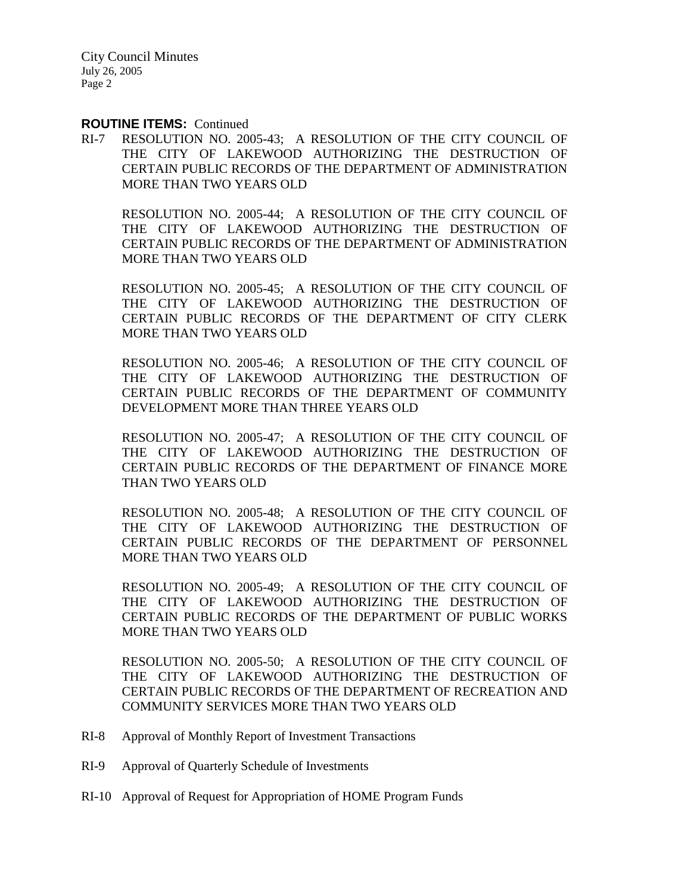City Council Minutes July 26, 2005 Page 2

#### **ROUTINE ITEMS:** Continued

RI-7 RESOLUTION NO. 2005-43; A RESOLUTION OF THE CITY COUNCIL OF THE CITY OF LAKEWOOD AUTHORIZING THE DESTRUCTION OF CERTAIN PUBLIC RECORDS OF THE DEPARTMENT OF ADMINISTRATION MORE THAN TWO YEARS OLD

RESOLUTION NO. 2005-44; A RESOLUTION OF THE CITY COUNCIL OF THE CITY OF LAKEWOOD AUTHORIZING THE DESTRUCTION OF CERTAIN PUBLIC RECORDS OF THE DEPARTMENT OF ADMINISTRATION MORE THAN TWO YEARS OLD

RESOLUTION NO. 2005-45; A RESOLUTION OF THE CITY COUNCIL OF THE CITY OF LAKEWOOD AUTHORIZING THE DESTRUCTION OF CERTAIN PUBLIC RECORDS OF THE DEPARTMENT OF CITY CLERK MORE THAN TWO YEARS OLD

RESOLUTION NO. 2005-46; A RESOLUTION OF THE CITY COUNCIL OF THE CITY OF LAKEWOOD AUTHORIZING THE DESTRUCTION OF CERTAIN PUBLIC RECORDS OF THE DEPARTMENT OF COMMUNITY DEVELOPMENT MORE THAN THREE YEARS OLD

RESOLUTION NO. 2005-47; A RESOLUTION OF THE CITY COUNCIL OF THE CITY OF LAKEWOOD AUTHORIZING THE DESTRUCTION OF CERTAIN PUBLIC RECORDS OF THE DEPARTMENT OF FINANCE MORE THAN TWO YEARS OLD

RESOLUTION NO. 2005-48; A RESOLUTION OF THE CITY COUNCIL OF THE CITY OF LAKEWOOD AUTHORIZING THE DESTRUCTION OF CERTAIN PUBLIC RECORDS OF THE DEPARTMENT OF PERSONNEL MORE THAN TWO YEARS OLD

RESOLUTION NO. 2005-49; A RESOLUTION OF THE CITY COUNCIL OF THE CITY OF LAKEWOOD AUTHORIZING THE DESTRUCTION OF CERTAIN PUBLIC RECORDS OF THE DEPARTMENT OF PUBLIC WORKS MORE THAN TWO YEARS OLD

RESOLUTION NO. 2005-50; A RESOLUTION OF THE CITY COUNCIL OF THE CITY OF LAKEWOOD AUTHORIZING THE DESTRUCTION OF CERTAIN PUBLIC RECORDS OF THE DEPARTMENT OF RECREATION AND COMMUNITY SERVICES MORE THAN TWO YEARS OLD

- RI-8 Approval of Monthly Report of Investment Transactions
- RI-9 Approval of Quarterly Schedule of Investments
- RI-10 Approval of Request for Appropriation of HOME Program Funds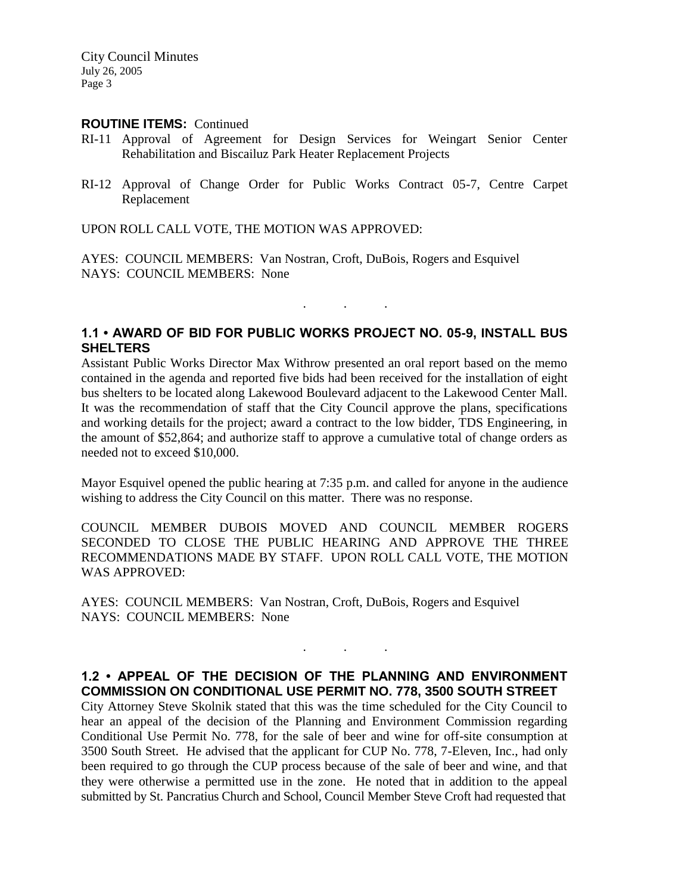City Council Minutes July 26, 2005 Page 3

#### **ROUTINE ITEMS:** Continued

- RI-11 Approval of Agreement for Design Services for Weingart Senior Center Rehabilitation and Biscailuz Park Heater Replacement Projects
- RI-12 Approval of Change Order for Public Works Contract 05-7, Centre Carpet Replacement

UPON ROLL CALL VOTE, THE MOTION WAS APPROVED:

AYES: COUNCIL MEMBERS: Van Nostran, Croft, DuBois, Rogers and Esquivel NAYS: COUNCIL MEMBERS: None

## **1.1 • AWARD OF BID FOR PUBLIC WORKS PROJECT NO. 05-9, INSTALL BUS SHELTERS**

. . .

Assistant Public Works Director Max Withrow presented an oral report based on the memo contained in the agenda and reported five bids had been received for the installation of eight bus shelters to be located along Lakewood Boulevard adjacent to the Lakewood Center Mall. It was the recommendation of staff that the City Council approve the plans, specifications and working details for the project; award a contract to the low bidder, TDS Engineering, in the amount of \$52,864; and authorize staff to approve a cumulative total of change orders as needed not to exceed \$10,000.

Mayor Esquivel opened the public hearing at 7:35 p.m. and called for anyone in the audience wishing to address the City Council on this matter. There was no response.

COUNCIL MEMBER DUBOIS MOVED AND COUNCIL MEMBER ROGERS SECONDED TO CLOSE THE PUBLIC HEARING AND APPROVE THE THREE RECOMMENDATIONS MADE BY STAFF. UPON ROLL CALL VOTE, THE MOTION WAS APPROVED:

AYES: COUNCIL MEMBERS: Van Nostran, Croft, DuBois, Rogers and Esquivel NAYS: COUNCIL MEMBERS: None

### **1.2 • APPEAL OF THE DECISION OF THE PLANNING AND ENVIRONMENT COMMISSION ON CONDITIONAL USE PERMIT NO. 778, 3500 SOUTH STREET**

. . .

City Attorney Steve Skolnik stated that this was the time scheduled for the City Council to hear an appeal of the decision of the Planning and Environment Commission regarding Conditional Use Permit No. 778, for the sale of beer and wine for off-site consumption at 3500 South Street. He advised that the applicant for CUP No. 778, 7-Eleven, Inc., had only been required to go through the CUP process because of the sale of beer and wine, and that they were otherwise a permitted use in the zone. He noted that in addition to the appeal submitted by St. Pancratius Church and School, Council Member Steve Croft had requested that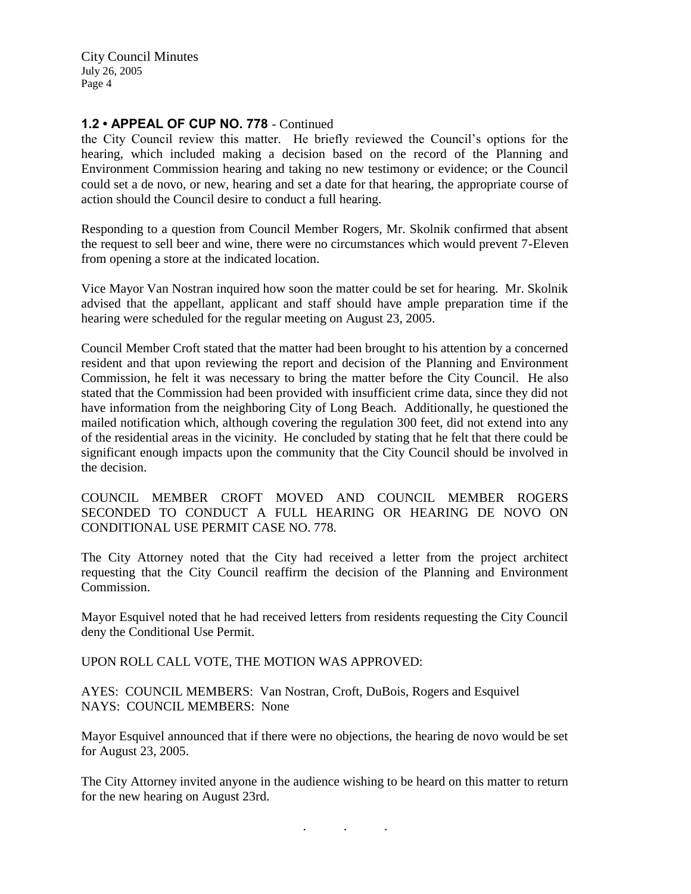City Council Minutes July 26, 2005 Page 4

### **1.2 • APPEAL OF CUP NO. 778** - Continued

the City Council review this matter. He briefly reviewed the Council's options for the hearing, which included making a decision based on the record of the Planning and Environment Commission hearing and taking no new testimony or evidence; or the Council could set a de novo, or new, hearing and set a date for that hearing, the appropriate course of action should the Council desire to conduct a full hearing.

Responding to a question from Council Member Rogers, Mr. Skolnik confirmed that absent the request to sell beer and wine, there were no circumstances which would prevent 7-Eleven from opening a store at the indicated location.

Vice Mayor Van Nostran inquired how soon the matter could be set for hearing. Mr. Skolnik advised that the appellant, applicant and staff should have ample preparation time if the hearing were scheduled for the regular meeting on August 23, 2005.

Council Member Croft stated that the matter had been brought to his attention by a concerned resident and that upon reviewing the report and decision of the Planning and Environment Commission, he felt it was necessary to bring the matter before the City Council. He also stated that the Commission had been provided with insufficient crime data, since they did not have information from the neighboring City of Long Beach. Additionally, he questioned the mailed notification which, although covering the regulation 300 feet, did not extend into any of the residential areas in the vicinity. He concluded by stating that he felt that there could be significant enough impacts upon the community that the City Council should be involved in the decision.

COUNCIL MEMBER CROFT MOVED AND COUNCIL MEMBER ROGERS SECONDED TO CONDUCT A FULL HEARING OR HEARING DE NOVO ON CONDITIONAL USE PERMIT CASE NO. 778.

The City Attorney noted that the City had received a letter from the project architect requesting that the City Council reaffirm the decision of the Planning and Environment Commission.

Mayor Esquivel noted that he had received letters from residents requesting the City Council deny the Conditional Use Permit.

UPON ROLL CALL VOTE, THE MOTION WAS APPROVED:

AYES: COUNCIL MEMBERS: Van Nostran, Croft, DuBois, Rogers and Esquivel NAYS: COUNCIL MEMBERS: None

Mayor Esquivel announced that if there were no objections, the hearing de novo would be set for August 23, 2005.

The City Attorney invited anyone in the audience wishing to be heard on this matter to return for the new hearing on August 23rd.

. . .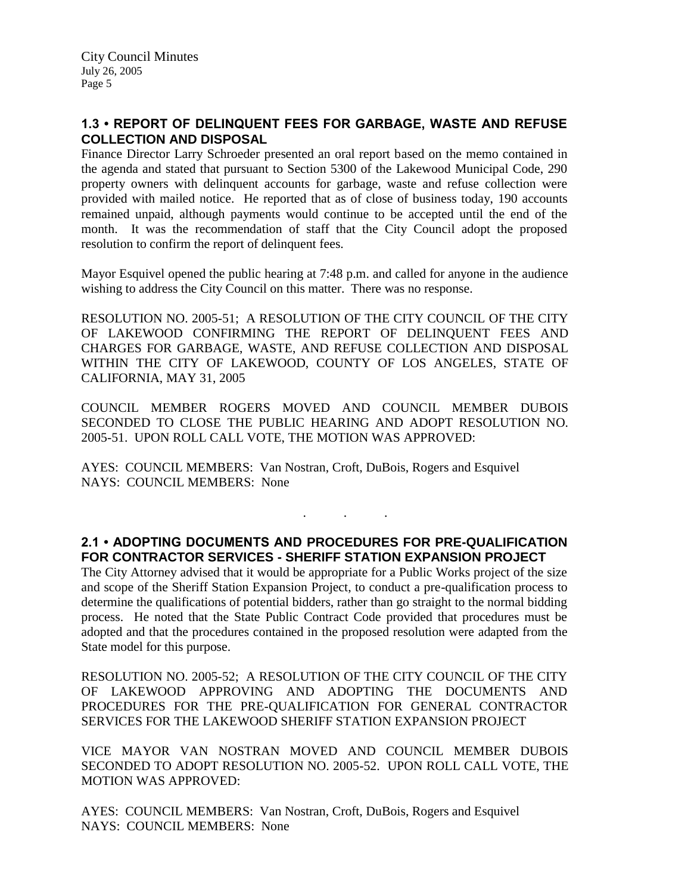# **1.3 • REPORT OF DELINQUENT FEES FOR GARBAGE, WASTE AND REFUSE COLLECTION AND DISPOSAL**

Finance Director Larry Schroeder presented an oral report based on the memo contained in the agenda and stated that pursuant to Section 5300 of the Lakewood Municipal Code, 290 property owners with delinquent accounts for garbage, waste and refuse collection were provided with mailed notice. He reported that as of close of business today, 190 accounts remained unpaid, although payments would continue to be accepted until the end of the month. It was the recommendation of staff that the City Council adopt the proposed resolution to confirm the report of delinquent fees.

Mayor Esquivel opened the public hearing at 7:48 p.m. and called for anyone in the audience wishing to address the City Council on this matter. There was no response.

RESOLUTION NO. 2005-51; A RESOLUTION OF THE CITY COUNCIL OF THE CITY OF LAKEWOOD CONFIRMING THE REPORT OF DELINQUENT FEES AND CHARGES FOR GARBAGE, WASTE, AND REFUSE COLLECTION AND DISPOSAL WITHIN THE CITY OF LAKEWOOD, COUNTY OF LOS ANGELES, STATE OF CALIFORNIA, MAY 31, 2005

COUNCIL MEMBER ROGERS MOVED AND COUNCIL MEMBER DUBOIS SECONDED TO CLOSE THE PUBLIC HEARING AND ADOPT RESOLUTION NO. 2005-51. UPON ROLL CALL VOTE, THE MOTION WAS APPROVED:

AYES: COUNCIL MEMBERS: Van Nostran, Croft, DuBois, Rogers and Esquivel NAYS: COUNCIL MEMBERS: None

### **2.1 • ADOPTING DOCUMENTS AND PROCEDURES FOR PRE-QUALIFICATION FOR CONTRACTOR SERVICES - SHERIFF STATION EXPANSION PROJECT**

. . .

The City Attorney advised that it would be appropriate for a Public Works project of the size and scope of the Sheriff Station Expansion Project, to conduct a pre-qualification process to determine the qualifications of potential bidders, rather than go straight to the normal bidding process. He noted that the State Public Contract Code provided that procedures must be adopted and that the procedures contained in the proposed resolution were adapted from the State model for this purpose.

RESOLUTION NO. 2005-52; A RESOLUTION OF THE CITY COUNCIL OF THE CITY OF LAKEWOOD APPROVING AND ADOPTING THE DOCUMENTS AND PROCEDURES FOR THE PRE-QUALIFICATION FOR GENERAL CONTRACTOR SERVICES FOR THE LAKEWOOD SHERIFF STATION EXPANSION PROJECT

VICE MAYOR VAN NOSTRAN MOVED AND COUNCIL MEMBER DUBOIS SECONDED TO ADOPT RESOLUTION NO. 2005-52. UPON ROLL CALL VOTE, THE MOTION WAS APPROVED:

AYES: COUNCIL MEMBERS: Van Nostran, Croft, DuBois, Rogers and Esquivel NAYS: COUNCIL MEMBERS: None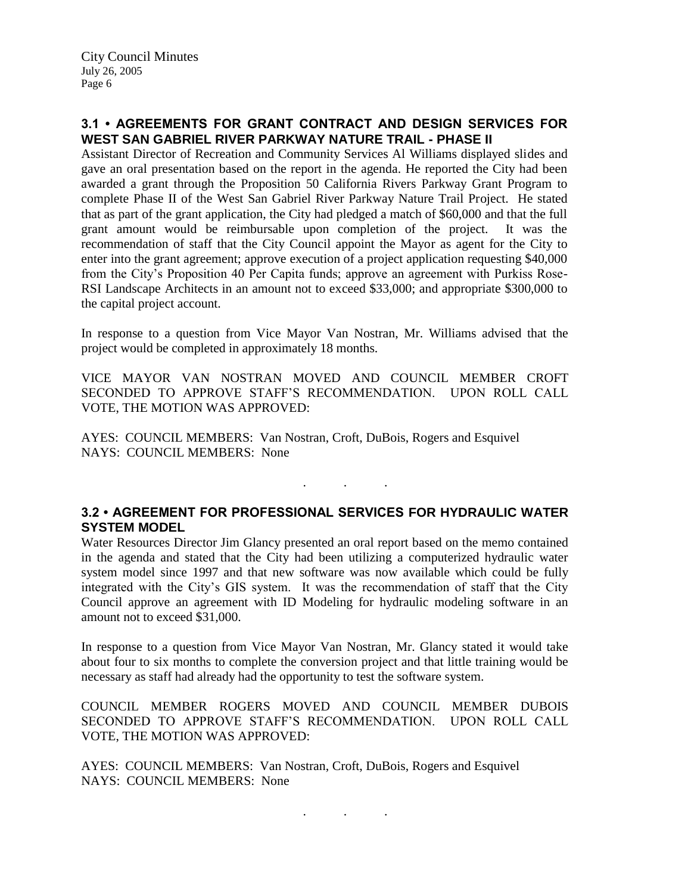# **3.1 • AGREEMENTS FOR GRANT CONTRACT AND DESIGN SERVICES FOR WEST SAN GABRIEL RIVER PARKWAY NATURE TRAIL - PHASE II**

Assistant Director of Recreation and Community Services Al Williams displayed slides and gave an oral presentation based on the report in the agenda. He reported the City had been awarded a grant through the Proposition 50 California Rivers Parkway Grant Program to complete Phase II of the West San Gabriel River Parkway Nature Trail Project. He stated that as part of the grant application, the City had pledged a match of \$60,000 and that the full grant amount would be reimbursable upon completion of the project. It was the recommendation of staff that the City Council appoint the Mayor as agent for the City to enter into the grant agreement; approve execution of a project application requesting \$40,000 from the City's Proposition 40 Per Capita funds; approve an agreement with Purkiss Rose-RSI Landscape Architects in an amount not to exceed \$33,000; and appropriate \$300,000 to the capital project account.

In response to a question from Vice Mayor Van Nostran, Mr. Williams advised that the project would be completed in approximately 18 months.

VICE MAYOR VAN NOSTRAN MOVED AND COUNCIL MEMBER CROFT SECONDED TO APPROVE STAFF'S RECOMMENDATION. UPON ROLL CALL VOTE, THE MOTION WAS APPROVED:

AYES: COUNCIL MEMBERS: Van Nostran, Croft, DuBois, Rogers and Esquivel NAYS: COUNCIL MEMBERS: None

# **3.2 • AGREEMENT FOR PROFESSIONAL SERVICES FOR HYDRAULIC WATER SYSTEM MODEL**

. . .

Water Resources Director Jim Glancy presented an oral report based on the memo contained in the agenda and stated that the City had been utilizing a computerized hydraulic water system model since 1997 and that new software was now available which could be fully integrated with the City's GIS system. It was the recommendation of staff that the City Council approve an agreement with ID Modeling for hydraulic modeling software in an amount not to exceed \$31,000.

In response to a question from Vice Mayor Van Nostran, Mr. Glancy stated it would take about four to six months to complete the conversion project and that little training would be necessary as staff had already had the opportunity to test the software system.

COUNCIL MEMBER ROGERS MOVED AND COUNCIL MEMBER DUBOIS SECONDED TO APPROVE STAFF'S RECOMMENDATION. UPON ROLL CALL VOTE, THE MOTION WAS APPROVED:

AYES: COUNCIL MEMBERS: Van Nostran, Croft, DuBois, Rogers and Esquivel NAYS: COUNCIL MEMBERS: None

. . .